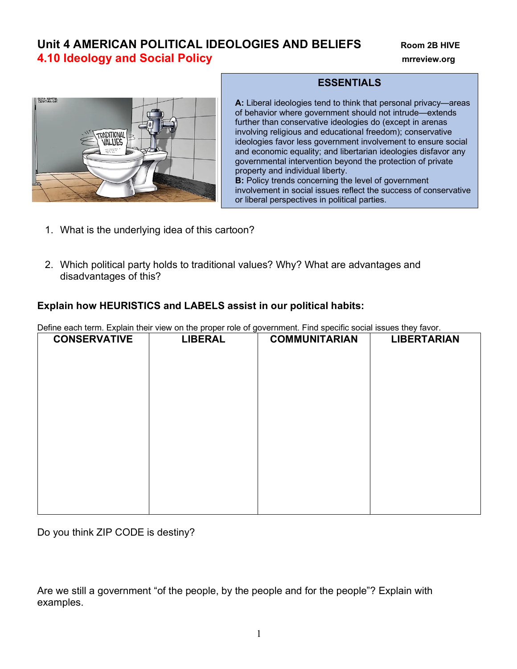## **Unit 4 AMERICAN POLITICAL IDEOLOGIES AND BELIEFS** Room 2B HIVE **4.10 Ideology and Social Policy mrreview.org**



## **ESSENTIALS**

**A:** Liberal ideologies tend to think that personal privacy—areas of behavior where government should not intrude—extends further than conservative ideologies do (except in arenas involving religious and educational freedom); conservative ideologies favor less government involvement to ensure social and economic equality; and libertarian ideologies disfavor any governmental intervention beyond the protection of private property and individual liberty. **B:** Policy trends concerning the level of government involvement in social issues reflect the success of conservative

or liberal perspectives in political parties.

- 1. What is the underlying idea of this cartoon?
- 2. Which political party holds to traditional values? Why? What are advantages and disadvantages of this?

## **Explain how HEURISTICS and LABELS assist in our political habits:**

Define each term. Explain their view on the proper role of government. Find specific social issues they favor.

| <b>CONSERVATIVE</b> | <b>LIBERAL</b> | <b>COMMUNITARIAN</b> | <b>LIBERTARIAN</b> |  |  |  |
|---------------------|----------------|----------------------|--------------------|--|--|--|
|                     |                |                      |                    |  |  |  |
|                     |                |                      |                    |  |  |  |
|                     |                |                      |                    |  |  |  |
|                     |                |                      |                    |  |  |  |
|                     |                |                      |                    |  |  |  |
|                     |                |                      |                    |  |  |  |
|                     |                |                      |                    |  |  |  |
|                     |                |                      |                    |  |  |  |
|                     |                |                      |                    |  |  |  |
|                     |                |                      |                    |  |  |  |
|                     |                |                      |                    |  |  |  |
|                     |                |                      |                    |  |  |  |
|                     |                |                      |                    |  |  |  |

Do you think ZIP CODE is destiny?

Are we still a government "of the people, by the people and for the people"? Explain with examples.